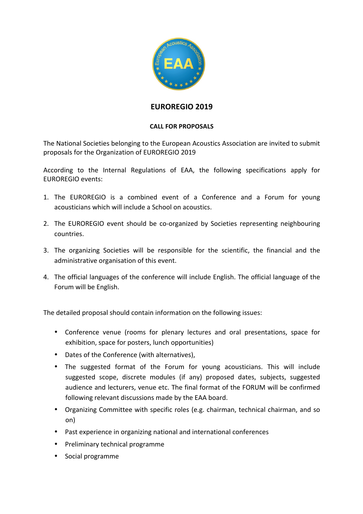

# **EUROREGIO 2019**

#### **CALL FOR PROPOSALS**

The National Societies belonging to the European Acoustics Association are invited to submit proposals for the Organization of EUROREGIO 2019

According to the Internal Regulations of EAA, the following specifications apply for EUROREGIO events: 

- 1. The EUROREGIO is a combined event of a Conference and a Forum for young acousticians which will include a School on acoustics.
- 2. The EUROREGIO event should be co-organized by Societies representing neighbouring countries.
- 3. The organizing Societies will be responsible for the scientific, the financial and the administrative organisation of this event.
- 4. The official languages of the conference will include English. The official language of the Forum will be English.

The detailed proposal should contain information on the following issues:

- Conference venue (rooms for plenary lectures and oral presentations, space for exhibition, space for posters, lunch opportunities)
- Dates of the Conference (with alternatives),
- The suggested format of the Forum for young acousticians. This will include suggested scope, discrete modules (if any) proposed dates, subjects, suggested audience and lecturers, venue etc. The final format of the FORUM will be confirmed following relevant discussions made by the EAA board.
- Organizing Committee with specific roles (e.g. chairman, technical chairman, and so on)
- Past experience in organizing national and international conferences
- Preliminary technical programme
- Social programme